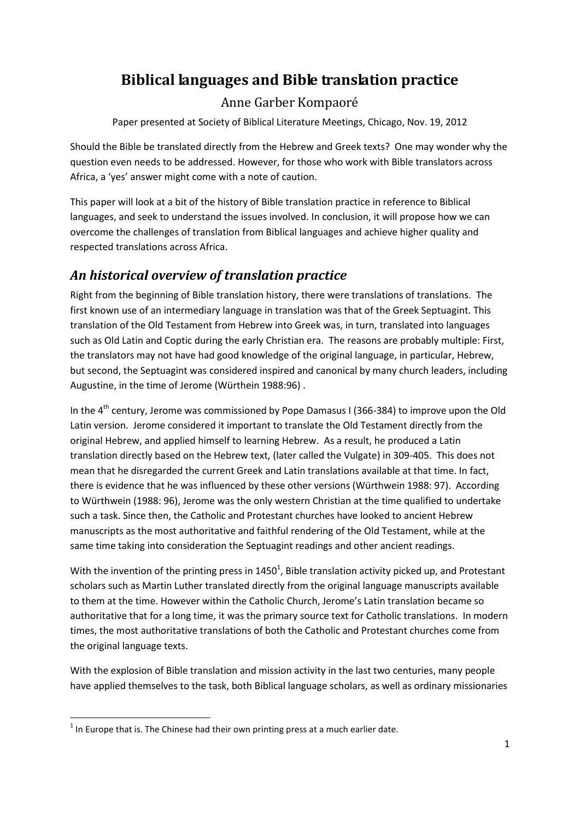# **Biblical languages and Bible translation practice**

## Anne Garber Kompaoré

Paper presented at Society of Biblical Literature Meetings, Chicago, Nov. 19, 2012

Should the Bible be translated directly from the Hebrew and Greek texts? One may wonder why the question even needs to be addressed. However, for those who work with Bible translators across Africa, a 'yes' answer might come with a note of caution.

This paper will look at a bit of the history of Bible translation practice in reference to Biblical languages, and seek to understand the issues involved. In conclusion, it will propose how we can overcome the challenges of translation from Biblical languages and achieve higher quality and respected translations across Africa.

### *An historical overview of translation practice*

Right from the beginning of Bible translation history, there were translations of translations. The first known use of an intermediary language in translation was that of the Greek Septuagint. This translation of the Old Testament from Hebrew into Greek was, in turn, translated into languages such as Old Latin and Coptic during the early Christian era. The reasons are probably multiple: First, the translators may not have had good knowledge of the original language, in particular, Hebrew, but second, the Septuagint was considered inspired and canonical by many church leaders, including Augustine, in the time of Jerome (Würthein 1988:96) .

In the  $4<sup>th</sup>$  century, Jerome was commissioned by Pope Damasus I (366-384) to improve upon the Old Latin version. Jerome considered it important to translate the Old Testament directly from the original Hebrew, and applied himself to learning Hebrew. As a result, he produced a Latin translation directly based on the Hebrew text, (later called the Vulgate) in 309-405. This does not mean that he disregarded the current Greek and Latin translations available at that time. In fact, there is evidence that he was influenced by these other versions (Würthwein 1988: 97). According to Würthwein (1988: 96), Jerome was the only western Christian at the time qualified to undertake such a task. Since then, the Catholic and Protestant churches have looked to ancient Hebrew manuscripts as the most authoritative and faithful rendering of the Old Testament, while at the same time taking into consideration the Septuagint readings and other ancient readings.

With the invention of the printing press in 1450<sup>1</sup>, Bible translation activity picked up, and Protestant scholars such as Martin Luther translated directly from the original language manuscripts available to them at the time. However within the Catholic Church, Jerome's Latin translation became so authoritative that for a long time, it was the primary source text for Catholic translations. In modern times, the most authoritative translations of both the Catholic and Protestant churches come from the original language texts.

With the explosion of Bible translation and mission activity in the last two centuries, many people have applied themselves to the task, both Biblical language scholars, as well as ordinary missionaries

**.** 

 $<sup>1</sup>$  In Europe that is. The Chinese had their own printing press at a much earlier date.</sup>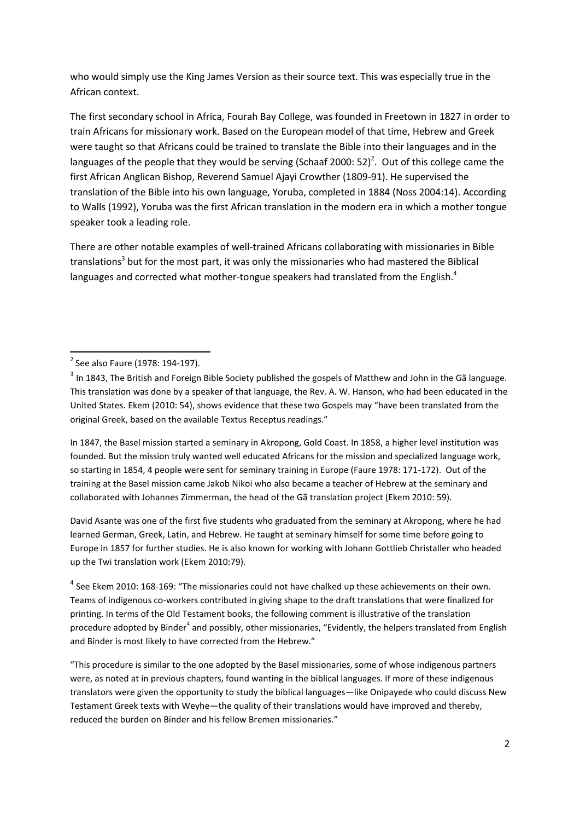who would simply use the King James Version as their source text. This was especially true in the African context.

The first secondary school in Africa, Fourah Bay College, was founded in Freetown in 1827 in order to train Africans for missionary work. Based on the European model of that time, Hebrew and Greek were taught so that Africans could be trained to translate the Bible into their languages and in the languages of the people that they would be serving (Schaaf 2000: 52)<sup>2</sup>. Out of this college came the first African Anglican Bishop, Reverend Samuel Ajayi Crowther (1809-91). He supervised the translation of the Bible into his own language, Yoruba, completed in 1884 (Noss 2004:14). According to Walls (1992), Yoruba was the first African translation in the modern era in which a mother tongue speaker took a leading role.

There are other notable examples of well-trained Africans collaborating with missionaries in Bible translations<sup>3</sup> but for the most part, it was only the missionaries who had mastered the Biblical languages and corrected what mother-tongue speakers had translated from the English. $^4$ 

**.** 

In 1847, the Basel mission started a seminary in Akropong, Gold Coast. In 1858, a higher level institution was founded. But the mission truly wanted well educated Africans for the mission and specialized language work, so starting in 1854, 4 people were sent for seminary training in Europe (Faure 1978: 171-172). Out of the training at the Basel mission came Jakob Nikoi who also became a teacher of Hebrew at the seminary and collaborated with Johannes Zimmerman, the head of the Gã translation project (Ekem 2010: 59).

David Asante was one of the first five students who graduated from the seminary at Akropong, where he had learned German, Greek, Latin, and Hebrew. He taught at seminary himself for some time before going to Europe in 1857 for further studies. He is also known for working with Johann Gottlieb Christaller who headed up the Twi translation work (Ekem 2010:79).

 $<sup>4</sup>$  See Ekem 2010: 168-169: "The missionaries could not have chalked up these achievements on their own.</sup> Teams of indigenous co-workers contributed in giving shape to the draft translations that were finalized for printing. In terms of the Old Testament books, the following comment is illustrative of the translation procedure adopted by Binder<sup>4</sup> and possibly, other missionaries, "Evidently, the helpers translated from English and Binder is most likely to have corrected from the Hebrew."

"This procedure is similar to the one adopted by the Basel missionaries, some of whose indigenous partners were, as noted at in previous chapters, found wanting in the biblical languages. If more of these indigenous translators were given the opportunity to study the biblical languages—like Onipayede who could discuss New Testament Greek texts with Weyhe—the quality of their translations would have improved and thereby, reduced the burden on Binder and his fellow Bremen missionaries."

 $2$  See also Faure (1978: 194-197).

 $3$  In 1843, The British and Foreign Bible Society published the gospels of Matthew and John in the Gã language. This translation was done by a speaker of that language, the Rev. A. W. Hanson, who had been educated in the United States. Ekem (2010: 54), shows evidence that these two Gospels may "have been translated from the original Greek, based on the available Textus Receptus readings."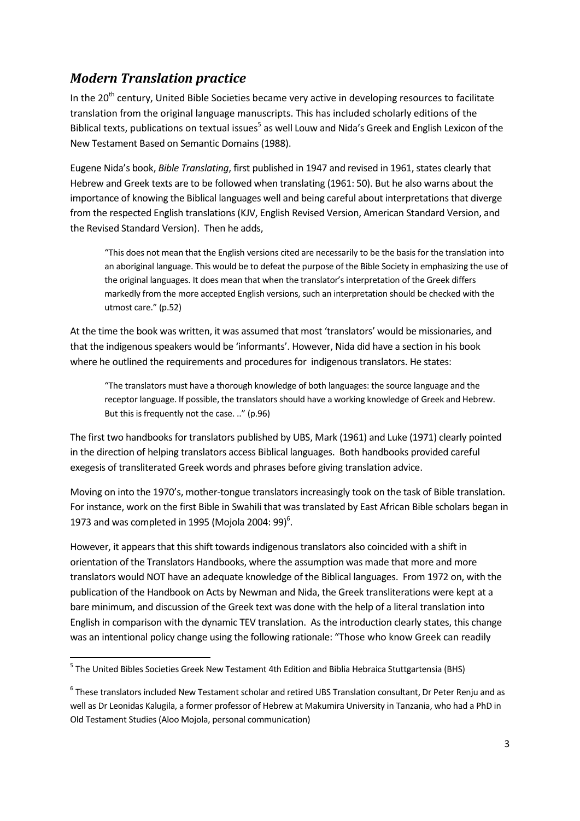## *Modern Translation practice*

In the 20<sup>th</sup> century, United Bible Societies became very active in developing resources to facilitate translation from the original language manuscripts. This has included scholarly editions of the Biblical texts, publications on textual issues<sup>5</sup> as well Louw and Nida's Greek and English Lexicon of the New Testament Based on Semantic Domains (1988).

Eugene Nida's book, *Bible Translating*, first published in 1947 and revised in 1961, states clearly that Hebrew and Greek texts are to be followed when translating (1961: 50). But he also warns about the importance of knowing the Biblical languages well and being careful about interpretations that diverge from the respected English translations (KJV, English Revised Version, American Standard Version, and the Revised Standard Version). Then he adds,

"This does not mean that the English versions cited are necessarily to be the basis for the translation into an aboriginal language. This would be to defeat the purpose of the Bible Society in emphasizing the use of the original languages. It does mean that when the translator's interpretation of the Greek differs markedly from the more accepted English versions, such an interpretation should be checked with the utmost care." (p.52)

At the time the book was written, it was assumed that most 'translators' would be missionaries, and that the indigenousspeakers would be 'informants'. However, Nida did have a section in his book where he outlined the requirements and procedures for indigenous translators. He states:

"The translators must have a thorough knowledge of both languages: the source language and the receptor language. If possible, the translators should have a working knowledge of Greek and Hebrew. But this is frequently not the case. .." (p.96)

The first two handbooks for translators published by UBS, Mark (1961) and Luke (1971) clearly pointed in the direction of helping translators access Biblical languages. Both handbooks provided careful exegesis of transliterated Greek words and phrases before giving translation advice.

Moving on into the 1970's, mother-tongue translators increasingly took on the task of Bible translation. For instance, work on the first Bible in Swahili that was translated by East African Bible scholars began in 1973 and was completed in 1995 (Mojola 2004: 99) $^6$ .

However, it appears that this shift towards indigenous translators also coincided with a shift in orientation of the Translators Handbooks, where the assumption was made that more and more translators would NOT have an adequate knowledge of the Biblical languages. From 1972 on, with the publication of the Handbook on Acts by Newman and Nida, the Greek transliterations were kept at a bare minimum, and discussion of the Greek text was done with the help of a literal translation into English in comparison with the dynamic TEV translation. As the introduction clearly states, this change was an intentional policy change using the following rationale: "Those who know Greek can readily

1

<sup>&</sup>lt;sup>5</sup> The United Bibles Societies Greek New Testament 4th Edition and Biblia Hebraica Stuttgartensia (BHS)

 $^6$  These translators included New Testament scholar and retired UBS Translation consultant, Dr Peter Renju and as well as Dr Leonidas Kalugila, a former professor of Hebrew at Makumira University in Tanzania, who had a PhD in Old Testament Studies (Aloo Mojola, personal communication)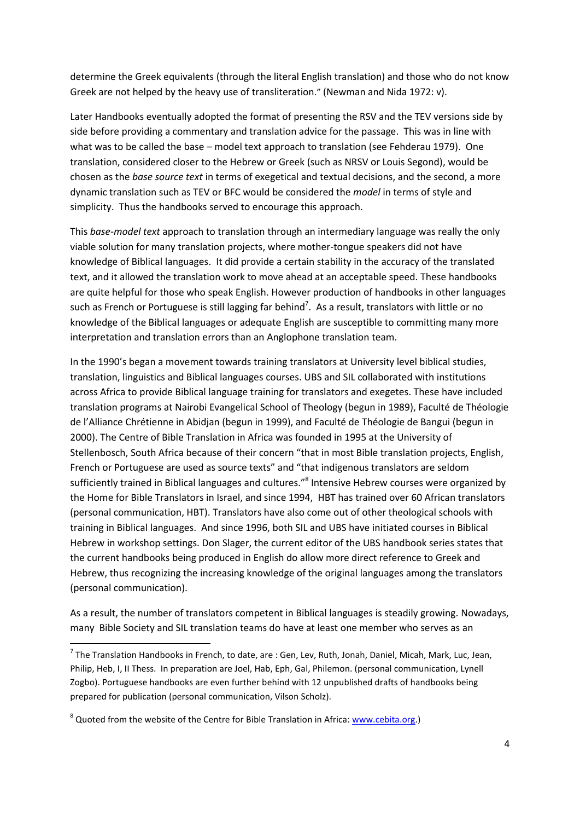determine the Greek equivalents (through the literal English translation) and those who do not know Greek are not helped by the heavy use of transliteration." (Newman and Nida 1972: v).

Later Handbooks eventually adopted the format of presenting the RSV and the TEV versions side by side before providing a commentary and translation advice for the passage. This was in line with what was to be called the base – model text approach to translation (see Fehderau 1979). One translation, considered closer to the Hebrew or Greek (such as NRSV or Louis Segond), would be chosen as the *base source text* in terms of exegetical and textual decisions, and the second, a more dynamic translation such as TEV or BFC would be considered the *model* in terms of style and simplicity. Thus the handbooks served to encourage this approach.

This *base-model text* approach to translation through an intermediary language was really the only viable solution for many translation projects, where mother-tongue speakers did not have knowledge of Biblical languages. It did provide a certain stability in the accuracy of the translated text, and it allowed the translation work to move ahead at an acceptable speed. These handbooks are quite helpful for those who speak English. However production of handbooks in other languages such as French or Portuguese is still lagging far behind<sup>7</sup>. As a result, translators with little or no knowledge of the Biblical languages or adequate English are susceptible to committing many more interpretation and translation errors than an Anglophone translation team.

In the 1990's began a movement towards training translators at University level biblical studies, translation, linguistics and Biblical languages courses. UBS and SIL collaborated with institutions across Africa to provide Biblical language training for translators and exegetes. These have included translation programs at Nairobi Evangelical School of Theology (begun in 1989), Faculté de Théologie de l'Alliance Chrétienne in Abidjan (begun in 1999), and Faculté de Théologie de Bangui (begun in 2000). The Centre of Bible Translation in Africa was founded in 1995 at the University of Stellenbosch, South Africa because of their concern "that in most Bible translation projects, English, French or Portuguese are used as source texts" and "that indigenous translators are seldom sufficiently trained in Biblical languages and cultures."<sup>8</sup> Intensive Hebrew courses were organized by the Home for Bible Translators in Israel, and since 1994, HBT has trained over 60 African translators (personal communication, HBT). Translators have also come out of other theological schools with training in Biblical languages. And since 1996, both SIL and UBS have initiated courses in Biblical Hebrew in workshop settings. Don Slager, the current editor of the UBS handbook series states that the current handbooks being produced in English do allow more direct reference to Greek and Hebrew, thus recognizing the increasing knowledge of the original languages among the translators (personal communication).

As a result, the number of translators competent in Biblical languages is steadily growing. Nowadays, many Bible Society and SIL translation teams do have at least one member who serves as an

**.** 

<sup>&</sup>lt;sup>7</sup> The Translation Handbooks in French, to date, are : Gen, Lev, Ruth, Jonah, Daniel, Micah, Mark, Luc, Jean, Philip, Heb, I, II Thess. In preparation are Joel, Hab, Eph, Gal, Philemon. (personal communication, Lynell Zogbo). Portuguese handbooks are even further behind with 12 unpublished drafts of handbooks being prepared for publication (personal communication, Vilson Scholz).

<sup>&</sup>lt;sup>8</sup> Quoted from the website of the Centre for Bible Translation in Africa[: www.cebita.org.\)](http://www.cebita.org/)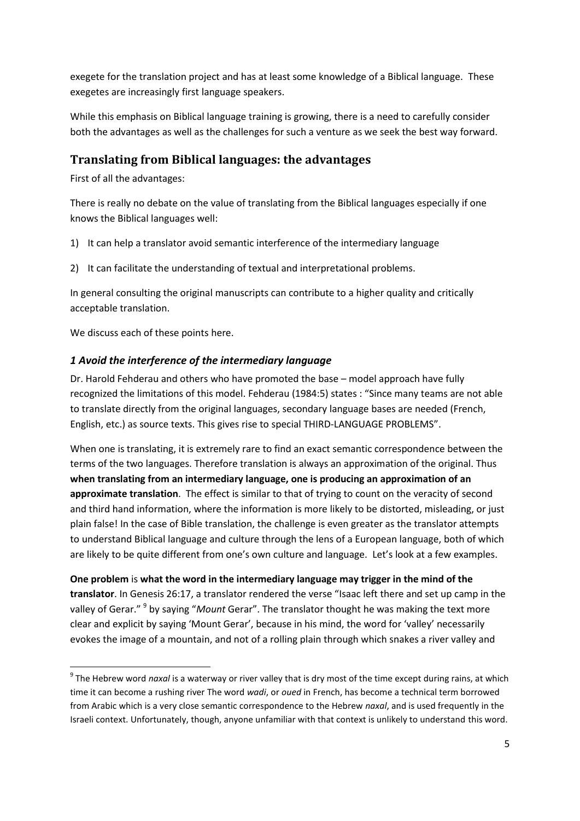exegete for the translation project and has at least some knowledge of a Biblical language. These exegetes are increasingly first language speakers.

While this emphasis on Biblical language training is growing, there is a need to carefully consider both the advantages as well as the challenges for such a venture as we seek the best way forward.

### **Translating from Biblical languages: the advantages**

First of all the advantages:

There is really no debate on the value of translating from the Biblical languages especially if one knows the Biblical languages well:

1) It can help a translator avoid semantic interference of the intermediary language

2) It can facilitate the understanding of textual and interpretational problems.

In general consulting the original manuscripts can contribute to a higher quality and critically acceptable translation.

We discuss each of these points here.

**.** 

#### *1 Avoid the interference of the intermediary language*

Dr. Harold Fehderau and others who have promoted the base – model approach have fully recognized the limitations of this model. Fehderau (1984:5) states : "Since many teams are not able to translate directly from the original languages, secondary language bases are needed (French, English, etc.) as source texts. This gives rise to special THIRD-LANGUAGE PROBLEMS".

When one is translating, it is extremely rare to find an exact semantic correspondence between the terms of the two languages. Therefore translation is always an approximation of the original. Thus **when translating from an intermediary language, one is producing an approximation of an approximate translation**. The effect is similar to that of trying to count on the veracity of second and third hand information, where the information is more likely to be distorted, misleading, or just plain false! In the case of Bible translation, the challenge is even greater as the translator attempts to understand Biblical language and culture through the lens of a European language, both of which are likely to be quite different from one's own culture and language. Let's look at a few examples.

**One problem** is **what the word in the intermediary language may trigger in the mind of the translator**. In Genesis 26:17, a translator rendered the verse "Isaac left there and set up camp in the valley of Gerar." <sup>9</sup> by saying "Mount Gerar". The translator thought he was making the text more clear and explicit by saying 'Mount Gerar', because in his mind, the word for 'valley' necessarily evokes the image of a mountain, and not of a rolling plain through which snakes a river valley and

<sup>9</sup> The Hebrew word *naxal* is a waterway or river valley that is dry most of the time except during rains, at which time it can become a rushing river The word *wadi*, or *oued* in French, has become a technical term borrowed from Arabic which is a very close semantic correspondence to the Hebrew *naxal*, and is used frequently in the Israeli context. Unfortunately, though, anyone unfamiliar with that context is unlikely to understand this word.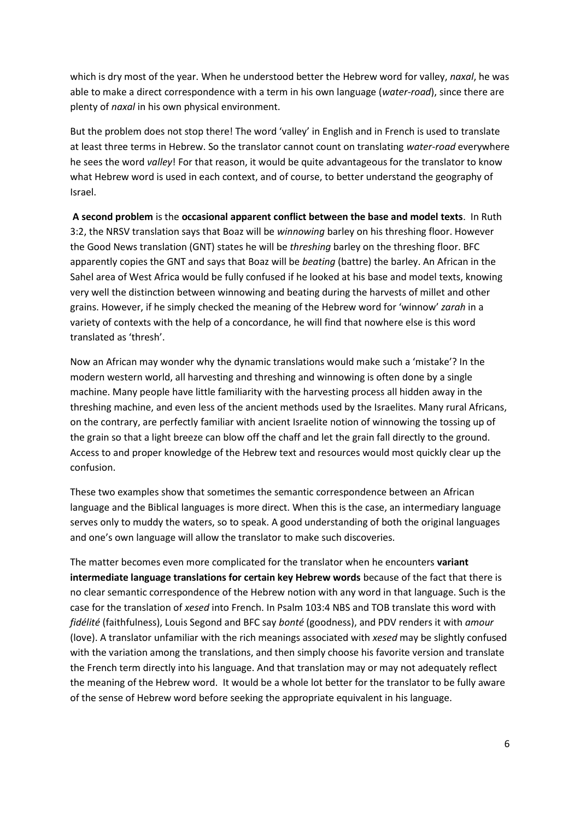which is dry most of the year. When he understood better the Hebrew word for valley, *naxal*, he was able to make a direct correspondence with a term in his own language (*water-road*), since there are plenty of *naxal* in his own physical environment.

But the problem does not stop there! The word 'valley' in English and in French is used to translate at least three terms in Hebrew. So the translator cannot count on translating *water-road* everywhere he sees the word *valley*! For that reason, it would be quite advantageous for the translator to know what Hebrew word is used in each context, and of course, to better understand the geography of Israel.

**A second problem** is the **occasional apparent conflict between the base and model texts**. In Ruth 3:2, the NRSV translation says that Boaz will be *winnowing* barley on his threshing floor. However the Good News translation (GNT) states he will be *threshing* barley on the threshing floor. BFC apparently copies the GNT and says that Boaz will be *beating* (battre) the barley. An African in the Sahel area of West Africa would be fully confused if he looked at his base and model texts, knowing very well the distinction between winnowing and beating during the harvests of millet and other grains. However, if he simply checked the meaning of the Hebrew word for 'winnow' *zarah* in a variety of contexts with the help of a concordance, he will find that nowhere else is this word translated as 'thresh'.

Now an African may wonder why the dynamic translations would make such a 'mistake'? In the modern western world, all harvesting and threshing and winnowing is often done by a single machine. Many people have little familiarity with the harvesting process all hidden away in the threshing machine, and even less of the ancient methods used by the Israelites. Many rural Africans, on the contrary, are perfectly familiar with ancient Israelite notion of winnowing the tossing up of the grain so that a light breeze can blow off the chaff and let the grain fall directly to the ground. Access to and proper knowledge of the Hebrew text and resources would most quickly clear up the confusion.

These two examples show that sometimes the semantic correspondence between an African language and the Biblical languages is more direct. When this is the case, an intermediary language serves only to muddy the waters, so to speak. A good understanding of both the original languages and one's own language will allow the translator to make such discoveries.

The matter becomes even more complicated for the translator when he encounters **variant intermediate language translations for certain key Hebrew words** because of the fact that there is no clear semantic correspondence of the Hebrew notion with any word in that language. Such is the case for the translation of *xesed* into French. In Psalm 103:4 NBS and TOB translate this word with *fidélité* (faithfulness), Louis Segond and BFC say *bonté* (goodness), and PDV renders it with *amour* (love). A translator unfamiliar with the rich meanings associated with *xesed* may be slightly confused with the variation among the translations, and then simply choose his favorite version and translate the French term directly into his language. And that translation may or may not adequately reflect the meaning of the Hebrew word. It would be a whole lot better for the translator to be fully aware of the sense of Hebrew word before seeking the appropriate equivalent in his language.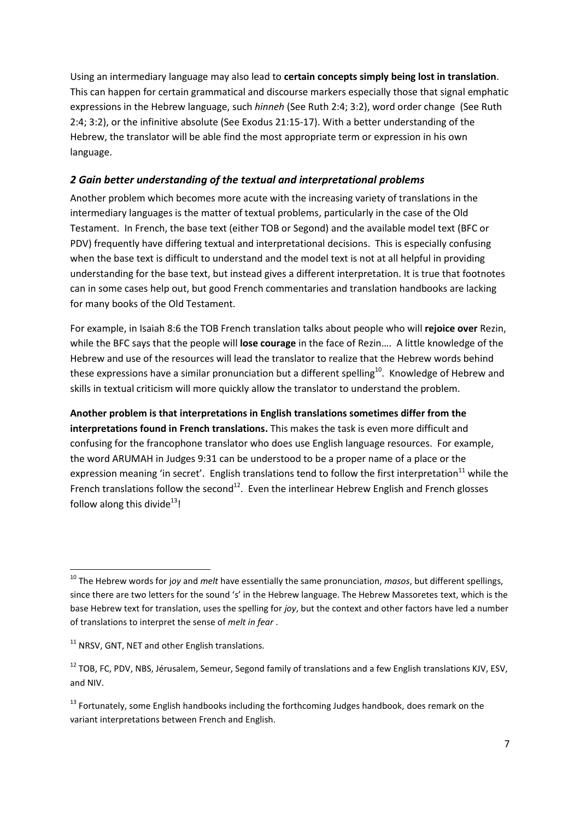Using an intermediary language may also lead to **certain concepts simply being lost in translation**. This can happen for certain grammatical and discourse markers especially those that signal emphatic expressions in the Hebrew language, such *hinneh* (See Ruth 2:4; 3:2), word order change (See Ruth 2:4; 3:2), or the infinitive absolute (See Exodus 21:15-17). With a better understanding of the Hebrew, the translator will be able find the most appropriate term or expression in his own language.

#### *2 Gain better understanding of the textual and interpretational problems*

Another problem which becomes more acute with the increasing variety of translations in the intermediary languages is the matter of textual problems, particularly in the case of the Old Testament. In French, the base text (either TOB or Segond) and the available model text (BFC or PDV) frequently have differing textual and interpretational decisions. This is especially confusing when the base text is difficult to understand and the model text is not at all helpful in providing understanding for the base text, but instead gives a different interpretation. It is true that footnotes can in some cases help out, but good French commentaries and translation handbooks are lacking for many books of the Old Testament.

For example, in Isaiah 8:6 the TOB French translation talks about people who will **rejoice over** Rezin, while the BFC says that the people will **lose courage** in the face of Rezin…. A little knowledge of the Hebrew and use of the resources will lead the translator to realize that the Hebrew words behind these expressions have a similar pronunciation but a different spelling<sup>10</sup>. Knowledge of Hebrew and skills in textual criticism will more quickly allow the translator to understand the problem.

**Another problem is that interpretations in English translations sometimes differ from the interpretations found in French translations.** This makes the task is even more difficult and confusing for the francophone translator who does use English language resources. For example, the word ARUMAH in Judges 9:31 can be understood to be a proper name of a place or the expression meaning 'in secret'. English translations tend to follow the first interpretation<sup>11</sup> while the French translations follow the second<sup>12</sup>. Even the interlinear Hebrew English and French glosses follow along this divide<sup>13</sup>!

**.** 

<sup>10</sup> The Hebrew words for j*oy* and *melt* have essentially the same pronunciation, *masos*, but different spellings, since there are two letters for the sound 's' in the Hebrew language. The Hebrew Massoretes text, which is the base Hebrew text for translation, uses the spelling for *joy*, but the context and other factors have led a number of translations to interpret the sense of *melt in fear* .

 $11$  NRSV, GNT, NET and other English translations.

 $12$  TOB, FC, PDV, NBS, Jérusalem, Semeur, Segond family of translations and a few English translations KJV, ESV, and NIV.

<sup>&</sup>lt;sup>13</sup> Fortunately, some English handbooks including the forthcoming Judges handbook, does remark on the variant interpretations between French and English.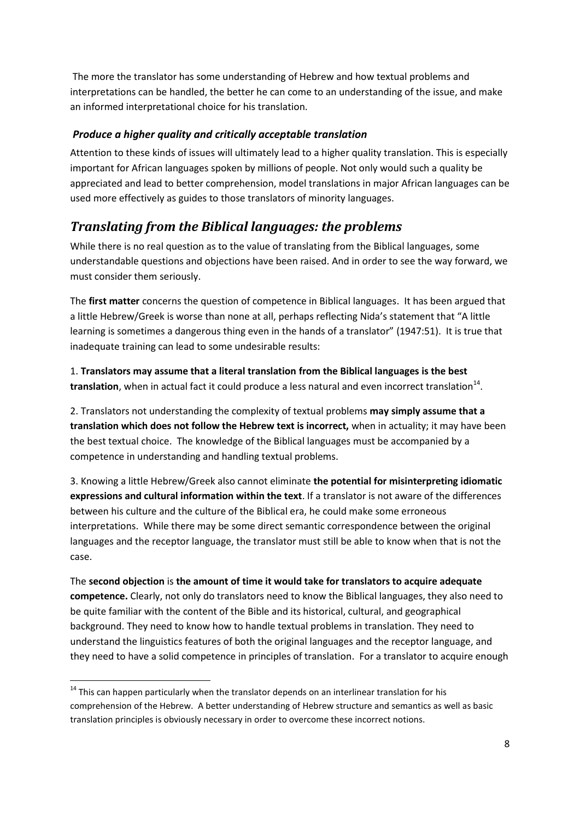The more the translator has some understanding of Hebrew and how textual problems and interpretations can be handled, the better he can come to an understanding of the issue, and make an informed interpretational choice for his translation.

#### *Produce a higher quality and critically acceptable translation*

Attention to these kinds of issues will ultimately lead to a higher quality translation. This is especially important for African languages spoken by millions of people. Not only would such a quality be appreciated and lead to better comprehension, model translations in major African languages can be used more effectively as guides to those translators of minority languages.

### *Translating from the Biblical languages: the problems*

While there is no real question as to the value of translating from the Biblical languages, some understandable questions and objections have been raised. And in order to see the way forward, we must consider them seriously.

The **first matter** concerns the question of competence in Biblical languages. It has been argued that a little Hebrew/Greek is worse than none at all, perhaps reflecting Nida's statement that "A little learning is sometimes a dangerous thing even in the hands of a translator" (1947:51). It is true that inadequate training can lead to some undesirable results:

1. **Translators may assume that a literal translation from the Biblical languages is the best**  translation, when in actual fact it could produce a less natural and even incorrect translation<sup>14</sup>.

2. Translators not understanding the complexity of textual problems **may simply assume that a translation which does not follow the Hebrew text is incorrect,** when in actuality; it may have been the best textual choice. The knowledge of the Biblical languages must be accompanied by a competence in understanding and handling textual problems.

3. Knowing a little Hebrew/Greek also cannot eliminate **the potential for misinterpreting idiomatic expressions and cultural information within the text**. If a translator is not aware of the differences between his culture and the culture of the Biblical era, he could make some erroneous interpretations. While there may be some direct semantic correspondence between the original languages and the receptor language, the translator must still be able to know when that is not the case.

The **second objection** is **the amount of time it would take for translators to acquire adequate competence.** Clearly, not only do translators need to know the Biblical languages, they also need to be quite familiar with the content of the Bible and its historical, cultural, and geographical background. They need to know how to handle textual problems in translation. They need to understand the linguistics features of both the original languages and the receptor language, and they need to have a solid competence in principles of translation. For a translator to acquire enough

1

<sup>&</sup>lt;sup>14</sup> This can happen particularly when the translator depends on an interlinear translation for his comprehension of the Hebrew. A better understanding of Hebrew structure and semantics as well as basic translation principles is obviously necessary in order to overcome these incorrect notions.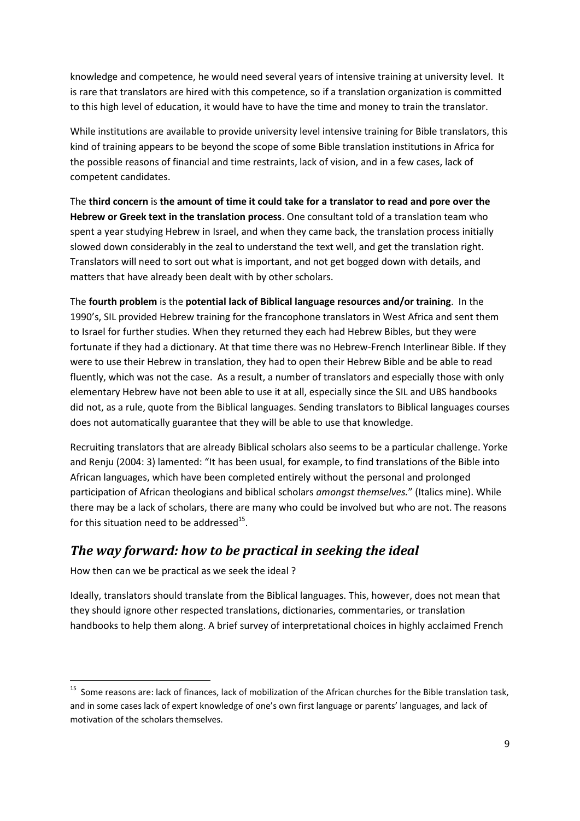knowledge and competence, he would need several years of intensive training at university level. It is rare that translators are hired with this competence, so if a translation organization is committed to this high level of education, it would have to have the time and money to train the translator.

While institutions are available to provide university level intensive training for Bible translators, this kind of training appears to be beyond the scope of some Bible translation institutions in Africa for the possible reasons of financial and time restraints, lack of vision, and in a few cases, lack of competent candidates.

The **third concern** is **the amount of time it could take for a translator to read and pore over the Hebrew or Greek text in the translation process**. One consultant told of a translation team who spent a year studying Hebrew in Israel, and when they came back, the translation process initially slowed down considerably in the zeal to understand the text well, and get the translation right. Translators will need to sort out what is important, and not get bogged down with details, and matters that have already been dealt with by other scholars.

The **fourth problem** is the **potential lack of Biblical language resources and/or training**. In the 1990's, SIL provided Hebrew training for the francophone translators in West Africa and sent them to Israel for further studies. When they returned they each had Hebrew Bibles, but they were fortunate if they had a dictionary. At that time there was no Hebrew-French Interlinear Bible. If they were to use their Hebrew in translation, they had to open their Hebrew Bible and be able to read fluently, which was not the case. As a result, a number of translators and especially those with only elementary Hebrew have not been able to use it at all, especially since the SIL and UBS handbooks did not, as a rule, quote from the Biblical languages. Sending translators to Biblical languages courses does not automatically guarantee that they will be able to use that knowledge.

Recruiting translators that are already Biblical scholars also seems to be a particular challenge. Yorke and Renju (2004: 3) lamented: "It has been usual, for example, to find translations of the Bible into African languages, which have been completed entirely without the personal and prolonged participation of African theologians and biblical scholars *amongst themselves.*" (Italics mine). While there may be a lack of scholars, there are many who could be involved but who are not. The reasons for this situation need to be addressed $^{15}$ .

### *The way forward: how to be practical in seeking the ideal*

How then can we be practical as we seek the ideal ?

1

Ideally, translators should translate from the Biblical languages. This, however, does not mean that they should ignore other respected translations, dictionaries, commentaries, or translation handbooks to help them along. A brief survey of interpretational choices in highly acclaimed French

<sup>&</sup>lt;sup>15</sup> Some reasons are: lack of finances, lack of mobilization of the African churches for the Bible translation task, and in some cases lack of expert knowledge of one's own first language or parents' languages, and lack of motivation of the scholars themselves.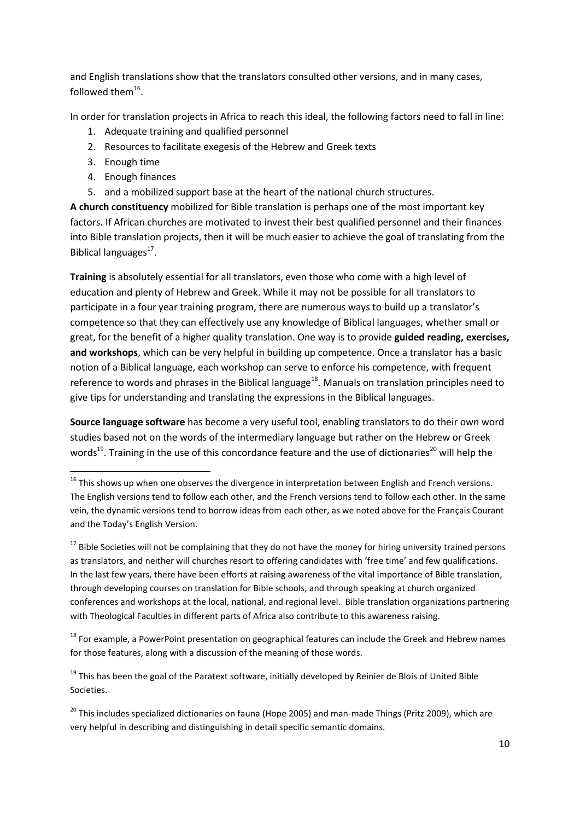and English translations show that the translators consulted other versions, and in many cases, followed them $^{16}$ .

In order for translation projects in Africa to reach this ideal, the following factors need to fall in line:

- 1. Adequate training and qualified personnel
- 2. Resources to facilitate exegesis of the Hebrew and Greek texts
- 3. Enough time

**.** 

- 4. Enough finances
- 5. and a mobilized support base at the heart of the national church structures.

**A church constituency** mobilized for Bible translation is perhaps one of the most important key factors. If African churches are motivated to invest their best qualified personnel and their finances into Bible translation projects, then it will be much easier to achieve the goal of translating from the Biblical languages<sup>17</sup>.

**Training** is absolutely essential for all translators, even those who come with a high level of education and plenty of Hebrew and Greek. While it may not be possible for all translators to participate in a four year training program, there are numerous ways to build up a translator's competence so that they can effectively use any knowledge of Biblical languages, whether small or great, for the benefit of a higher quality translation. One way is to provide **guided reading, exercises, and workshops**, which can be very helpful in building up competence. Once a translator has a basic notion of a Biblical language, each workshop can serve to enforce his competence, with frequent reference to words and phrases in the Biblical language<sup>18</sup>. Manuals on translation principles need to give tips for understanding and translating the expressions in the Biblical languages.

**Source language software** has become a very useful tool, enabling translators to do their own word studies based not on the words of the intermediary language but rather on the Hebrew or Greek words<sup>19</sup>. Training in the use of this concordance feature and the use of dictionaries<sup>20</sup> will help the

<sup>17</sup> Bible Societies will not be complaining that they do not have the money for hiring university trained persons as translators, and neither will churches resort to offering candidates with 'free time' and few qualifications. In the last few years, there have been efforts at raising awareness of the vital importance of Bible translation, through developing courses on translation for Bible schools, and through speaking at church organized conferences and workshops at the local, national, and regional level. Bible translation organizations partnering with Theological Faculties in different parts of Africa also contribute to this awareness raising.

<sup>18</sup> For example, a PowerPoint presentation on geographical features can include the Greek and Hebrew names for those features, along with a discussion of the meaning of those words.

<sup>19</sup> This has been the goal of the Paratext software, initially developed by Reinier de Blois of United Bible Societies.

<sup>20</sup> This includes specialized dictionaries on fauna (Hope 2005) and man-made Things (Pritz 2009), which are very helpful in describing and distinguishing in detail specific semantic domains.

<sup>&</sup>lt;sup>16</sup> This shows up when one observes the divergence in interpretation between English and French versions. The English versions tend to follow each other, and the French versions tend to follow each other. In the same vein, the dynamic versions tend to borrow ideas from each other, as we noted above for the Français Courant and the Today's English Version.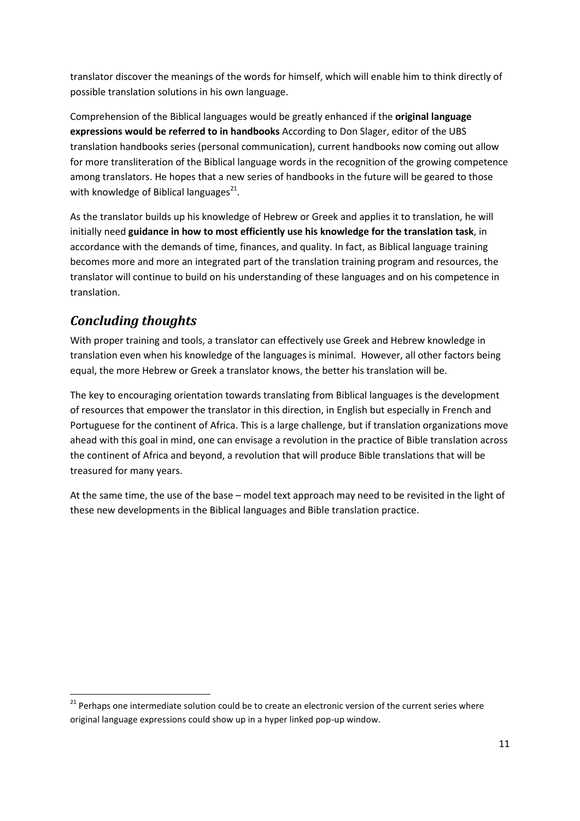translator discover the meanings of the words for himself, which will enable him to think directly of possible translation solutions in his own language.

Comprehension of the Biblical languages would be greatly enhanced if the **original language expressions would be referred to in handbooks** According to Don Slager, editor of the UBS translation handbooks series (personal communication), current handbooks now coming out allow for more transliteration of the Biblical language words in the recognition of the growing competence among translators. He hopes that a new series of handbooks in the future will be geared to those with knowledge of Biblical languages $^{21}$ .

As the translator builds up his knowledge of Hebrew or Greek and applies it to translation, he will initially need **guidance in how to most efficiently use his knowledge for the translation task**, in accordance with the demands of time, finances, and quality. In fact, as Biblical language training becomes more and more an integrated part of the translation training program and resources, the translator will continue to build on his understanding of these languages and on his competence in translation.

## *Concluding thoughts*

**.** 

With proper training and tools, a translator can effectively use Greek and Hebrew knowledge in translation even when his knowledge of the languages is minimal. However, all other factors being equal, the more Hebrew or Greek a translator knows, the better his translation will be.

The key to encouraging orientation towards translating from Biblical languages is the development of resources that empower the translator in this direction, in English but especially in French and Portuguese for the continent of Africa. This is a large challenge, but if translation organizations move ahead with this goal in mind, one can envisage a revolution in the practice of Bible translation across the continent of Africa and beyond, a revolution that will produce Bible translations that will be treasured for many years.

At the same time, the use of the base – model text approach may need to be revisited in the light of these new developments in the Biblical languages and Bible translation practice.

<sup>&</sup>lt;sup>21</sup> Perhaps one intermediate solution could be to create an electronic version of the current series where original language expressions could show up in a hyper linked pop-up window.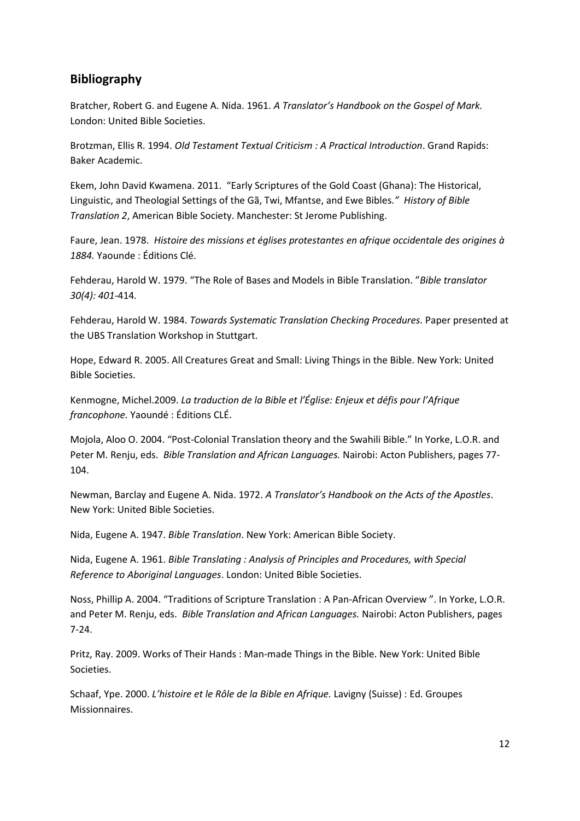### **Bibliography**

Bratcher, Robert G. and Eugene A. Nida. 1961. *A Translator's Handbook on the Gospel of Mark.*  London: United Bible Societies.

Brotzman, Ellis R. 1994. *Old Testament Textual Criticism : A Practical Introduction*. Grand Rapids: Baker Academic.

Ekem, John David Kwamena. 2011. "Early Scriptures of the Gold Coast (Ghana): The Historical, Linguistic, and Theologial Settings of the Gã, Twi, Mfantse, and Ewe Bibles*." History of Bible Translation 2*, American Bible Society. Manchester: St Jerome Publishing.

Faure, Jean. 1978. *Histoire des missions et églises protestantes en afrique occidentale des origines à 1884.* Yaounde : Éditions Clé.

Fehderau, Harold W. 1979. "The Role of Bases and Models in Bible Translation. "*Bible translator 30(4): 401-*414*.*

Fehderau, Harold W. 1984. *Towards Systematic Translation Checking Procedures.* Paper presented at the UBS Translation Workshop in Stuttgart.

Hope, Edward R. 2005. All Creatures Great and Small: Living Things in the Bible. New York: United Bible Societies.

Kenmogne, Michel.2009. *La traduction de la Bible et l'Église: Enjeux et défis pour l'Afrique francophone.* Yaoundé : Éditions CLÉ.

Mojola, Aloo O. 2004. "Post-Colonial Translation theory and the Swahili Bible." In Yorke, L.O.R. and Peter M. Renju, eds. *Bible Translation and African Languages.* Nairobi: Acton Publishers, pages 77- 104.

Newman, Barclay and Eugene A. Nida. 1972. *A Translator's Handbook on the Acts of the Apostles*. New York: United Bible Societies.

Nida, Eugene A. 1947. *Bible Translation*. New York: American Bible Society.

Nida, Eugene A. 1961. *Bible Translating : Analysis of Principles and Procedures, with Special Reference to Aboriginal Languages*. London: United Bible Societies.

Noss, Phillip A. 2004. "Traditions of Scripture Translation : A Pan-African Overview ". In Yorke, L.O.R. and Peter M. Renju, eds. *Bible Translation and African Languages.* Nairobi: Acton Publishers, pages 7-24.

Pritz, Ray. 2009. Works of Their Hands : Man-made Things in the Bible. New York: United Bible Societies.

Schaaf, Ype. 2000. *L'histoire et le Rôle de la Bible en Afrique.* Lavigny (Suisse) : Ed. Groupes Missionnaires.